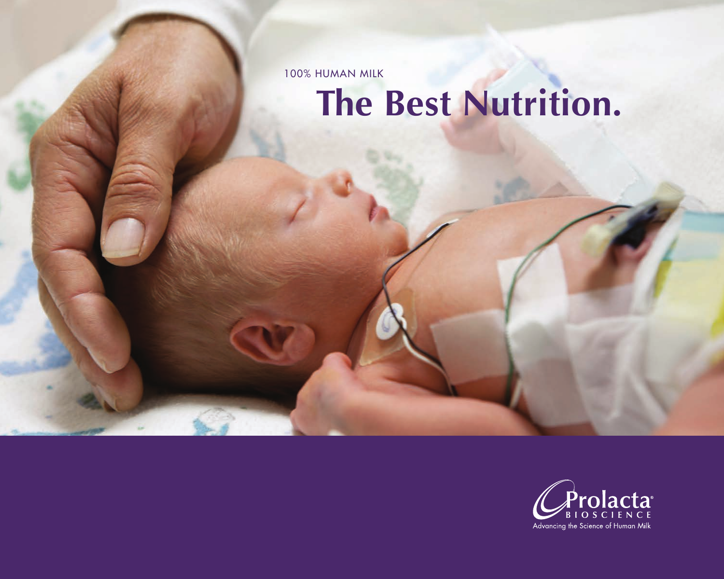100% HUMAN MILK



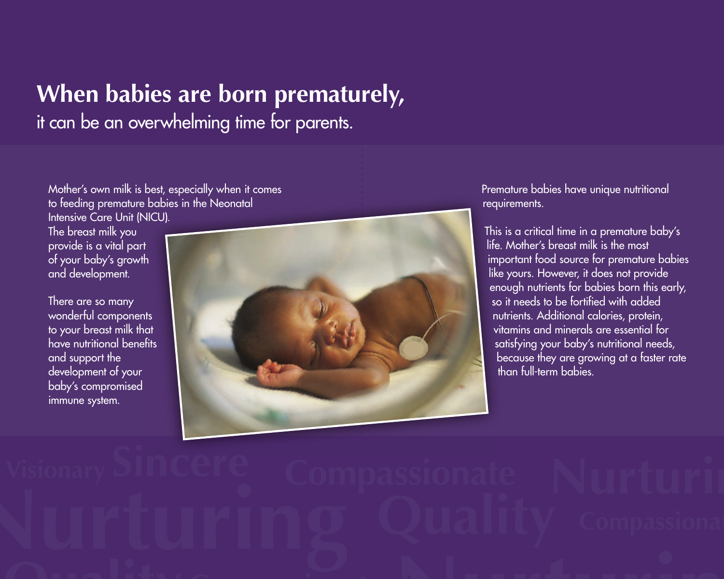## **When babies are born prematurely,** it can be an overwhelming time for parents.

Mother's own milk is best, especially when it comes to feeding premature babies in the Neonatal

Intensive Care Unit (NICU). The breast milk you provide is a vital part of your baby's growth and development.

There are so many wonderful components to your breast milk that have nutritional benefits and support the development of your baby's compromised immune system.



Premature babies have unique nutritional requirements.

This is a critical time in a premature baby's life. Mother's breast milk is the most important food source for premature babies like yours. However, it does not provide enough nutrients for babies born this early, so it needs to be fortified with added nutrients. Additional calories, protein, vitamins and minerals are essential for satisfying your baby's nutritional needs, because they are growing at a faster rate than full-term babies.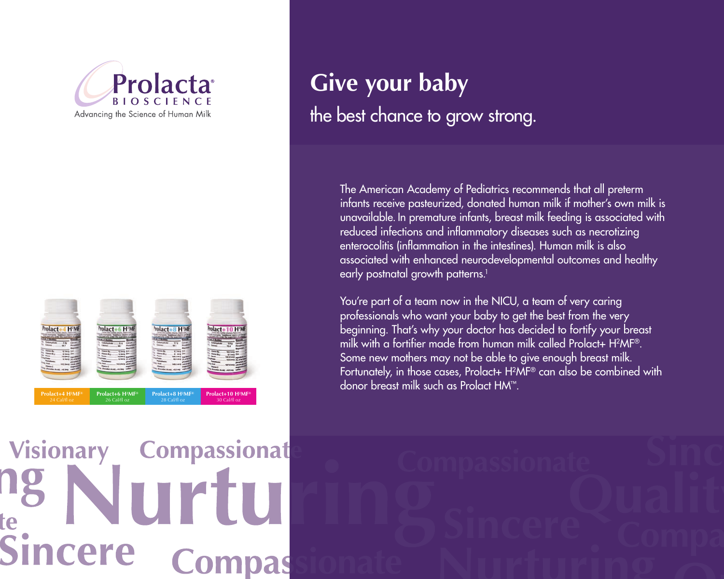



## **Give your baby** the best chance to grow strong.

The American Academy of Pediatrics recommends that all preterm infants receive pasteurized, donated human milk if mother's own milk is unavailable. In premature infants, breast milk feeding is associated with reduced infections and inflammatory diseases such as necrotizing enterocolitis (inflammation in the intestines). Human milk is also associated with enhanced neurodevelopmental outcomes and healthy early postnatal growth patterns.<sup>1</sup>

You're part of a team now in the NICU, a team of very caring professionals who want your baby to get the best from the very beginning. That's why your doctor has decided to fortify your breast milk with a fortifier made from human milk called Prolact+ H2MF®. Some new mothers may not be able to give enough breast milk. Fortunately, in those cases, Prolact+ H<sup>2</sup>MF® can also be combined with **donor breast milk such as Prolact HM™.** 

**Visionary** Compassionat **Compas**